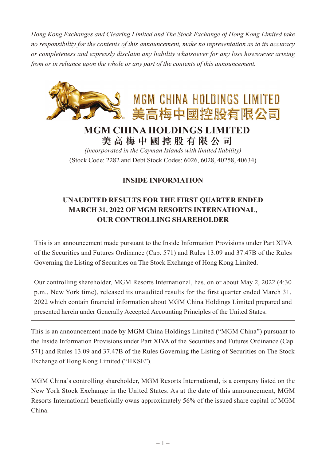*Hong Kong Exchanges and Clearing Limited and The Stock Exchange of Hong Kong Limited take no responsibility for the contents of this announcement, make no representation as to its accuracy or completeness and expressly disclaim any liability whatsoever for any loss howsoever arising from or in reliance upon the whole or any part of the contents of this announcement.*



# **MGM CHINA HOLDINGS LIMITED 美高梅中國控股有限公司**

*(incorporated in the Cayman Islands with limited liability)* (Stock Code: 2282 and Debt Stock Codes: 6026, 6028, 40258, 40634)

## **INSIDE INFORMATION**

# **UNAUDITED RESULTS FOR THE FIRST QUARTER ENDED MARCH 31, 2022 OF MGM RESORTS INTERNATIONAL, OUR CONTROLLING SHAREHOLDER**

This is an announcement made pursuant to the Inside Information Provisions under Part XIVA of the Securities and Futures Ordinance (Cap. 571) and Rules 13.09 and 37.47B of the Rules Governing the Listing of Securities on The Stock Exchange of Hong Kong Limited.

Our controlling shareholder, MGM Resorts International, has, on or about May 2, 2022 (4:30 p.m., New York time), released its unaudited results for the first quarter ended March 31, 2022 which contain financial information about MGM China Holdings Limited prepared and presented herein under Generally Accepted Accounting Principles of the United States.

This is an announcement made by MGM China Holdings Limited ("MGM China") pursuant to the Inside Information Provisions under Part XIVA of the Securities and Futures Ordinance (Cap. 571) and Rules 13.09 and 37.47B of the Rules Governing the Listing of Securities on The Stock Exchange of Hong Kong Limited ("HKSE").

MGM China's controlling shareholder, MGM Resorts International, is a company listed on the New York Stock Exchange in the United States. As at the date of this announcement, MGM Resorts International beneficially owns approximately 56% of the issued share capital of MGM China.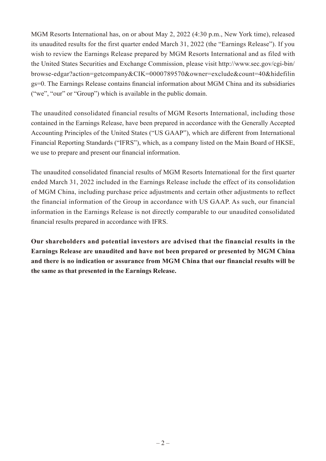MGM Resorts International has, on or about May 2, 2022 (4:30 p.m., New York time), released its unaudited results for the first quarter ended March 31, 2022 (the "Earnings Release"). If you wish to review the Earnings Release prepared by MGM Resorts International and as filed with the United States Securities and Exchange Commission, please visit [http://www.sec.gov/cgi-bin/](http://www.sec.gov/cgi-bin/browse-edgar?action=getcompany&CIK=0000789570&owner=exclude&count=40&hidefilings=0) [browse-edgar?action=getcompany&CIK=0000789570&owner=exclude&count=40&hidefilin](http://www.sec.gov/cgi-bin/browse-edgar?action=getcompany&CIK=0000789570&owner=exclude&count=40&hidefilings=0) [gs=0.](http://www.sec.gov/cgi-bin/browse-edgar?action=getcompany&CIK=0000789570&owner=exclude&count=40&hidefilings=0) The Earnings Release contains financial information about MGM China and its subsidiaries ("we", "our" or "Group") which is available in the public domain.

The unaudited consolidated financial results of MGM Resorts International, including those contained in the Earnings Release, have been prepared in accordance with the Generally Accepted Accounting Principles of the United States ("US GAAP"), which are different from International Financial Reporting Standards ("IFRS"), which, as a company listed on the Main Board of HKSE, we use to prepare and present our financial information.

The unaudited consolidated financial results of MGM Resorts International for the first quarter ended March 31, 2022 included in the Earnings Release include the effect of its consolidation of MGM China, including purchase price adjustments and certain other adjustments to reflect the financial information of the Group in accordance with US GAAP. As such, our financial information in the Earnings Release is not directly comparable to our unaudited consolidated financial results prepared in accordance with IFRS.

**Our shareholders and potential investors are advised that the financial results in the Earnings Release are unaudited and have not been prepared or presented by MGM China and there is no indication or assurance from MGM China that our financial results will be the same as that presented in the Earnings Release.**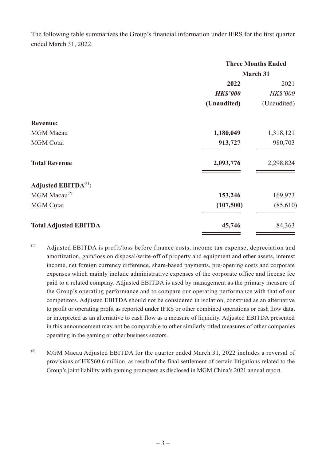The following table summarizes the Group's financial information under IFRS for the first quarter ended March 31, 2022.

|                                  | <b>Three Months Ended</b> |                 |
|----------------------------------|---------------------------|-----------------|
|                                  | March 31                  |                 |
|                                  | 2022                      | 2021            |
|                                  | <b>HK\$'000</b>           | <b>HK\$'000</b> |
|                                  | (Unaudited)               | (Unaudited)     |
| <b>Revenue:</b>                  |                           |                 |
| <b>MGM</b> Macau                 | 1,180,049                 | 1,318,121       |
| <b>MGM</b> Cotai                 | 913,727                   | 980,703         |
| <b>Total Revenue</b>             | 2,093,776                 | 2,298,824       |
| Adjusted EBITDA <sup>(1)</sup> : |                           |                 |
| MGM Macau <sup>(2)</sup>         | 153,246                   | 169,973         |
| <b>MGM</b> Cotai                 | (107,500)                 | (85, 610)       |
| <b>Total Adjusted EBITDA</b>     | 45,746                    | 84,363          |

- (1) Adjusted EBITDA is profit/loss before finance costs, income tax expense, depreciation and amortization, gain/loss on disposal/write-off of property and equipment and other assets, interest income, net foreign currency difference, share-based payments, pre-opening costs and corporate expenses which mainly include administrative expenses of the corporate office and license fee paid to a related company. Adjusted EBITDA is used by management as the primary measure of the Group's operating performance and to compare our operating performance with that of our competitors. Adjusted EBITDA should not be considered in isolation, construed as an alternative to profit or operating profit as reported under IFRS or other combined operations or cash flow data, or interpreted as an alternative to cash flow as a measure of liquidity. Adjusted EBITDA presented in this announcement may not be comparable to other similarly titled measures of other companies operating in the gaming or other business sectors.
- (2) MGM Macau Adjusted EBITDA for the quarter ended March 31, 2022 includes a reversal of provisions of HK\$60.6 million, as result of the final settlement of certain litigations related to the Group's joint liability with gaming promoters as disclosed in MGM China's 2021 annual report.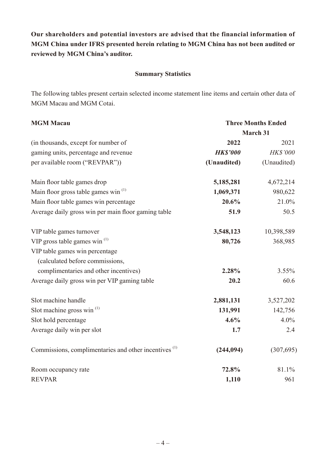**Our shareholders and potential investors are advised that the financial information of MGM China under IFRS presented herein relating to MGM China has not been audited or reviewed by MGM China's auditor.**

### **Summary Statistics**

The following tables present certain selected income statement line items and certain other data of MGM Macau and MGM Cotai.

| <b>MGM Macau</b>                                                 | <b>Three Months Ended</b> |                 |
|------------------------------------------------------------------|---------------------------|-----------------|
|                                                                  | <b>March 31</b>           |                 |
| (in thousands, except for number of                              | 2022                      | 2021            |
| gaming units, percentage and revenue                             | <b>HK\$'000</b>           | <b>HK\$'000</b> |
| per available room ("REVPAR"))                                   | (Unaudited)               | (Unaudited)     |
| Main floor table games drop                                      | 5,185,281                 | 4,672,214       |
| Main floor gross table games win <sup>(1)</sup>                  | 1,069,371                 | 980,622         |
| Main floor table games win percentage                            | 20.6%                     | 21.0%           |
| Average daily gross win per main floor gaming table              | 51.9                      | 50.5            |
| VIP table games turnover                                         | 3,548,123                 | 10,398,589      |
| VIP gross table games win $(1)$                                  | 80,726                    | 368,985         |
| VIP table games win percentage                                   |                           |                 |
| (calculated before commissions,                                  |                           |                 |
| complimentaries and other incentives)                            | 2.28%                     | $3.55\%$        |
| Average daily gross win per VIP gaming table                     | 20.2                      | 60.6            |
| Slot machine handle                                              | 2,881,131                 | 3,527,202       |
| Slot machine gross win $^{(1)}$                                  | 131,991                   | 142,756         |
| Slot hold percentage                                             | 4.6%                      | 4.0%            |
| Average daily win per slot                                       | 1.7                       | 2.4             |
| Commissions, complimentaries and other incentives <sup>(1)</sup> | (244, 094)                | (307, 695)      |
| Room occupancy rate                                              | 72.8%                     | 81.1%           |
| <b>REVPAR</b>                                                    | 1,110                     | 961             |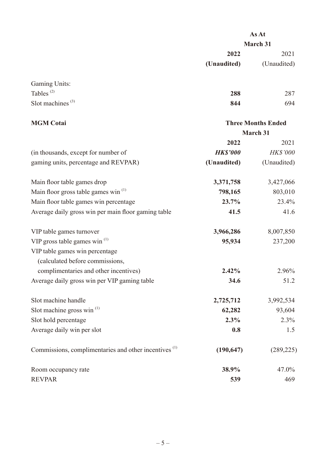| As At           |             |
|-----------------|-------------|
| <b>March 31</b> |             |
| 2021            | 2022        |
| (Unaudited)     | (Unaudited) |
|                 |             |

| Gaming Units:                      |     |     |
|------------------------------------|-----|-----|
| Tables <sup><math>(2)</math></sup> | 288 | 287 |
| Slot machines $(3)$                | 844 | 694 |

| <b>MGM Cotai</b>                                                 | <b>Three Months Ended</b><br><b>March 31</b> |                 |
|------------------------------------------------------------------|----------------------------------------------|-----------------|
|                                                                  |                                              |                 |
|                                                                  | 2022                                         | 2021            |
| (in thousands, except for number of                              | <b>HK\$'000</b>                              | <b>HK\$'000</b> |
| gaming units, percentage and REVPAR)                             | (Unaudited)                                  | (Unaudited)     |
| Main floor table games drop                                      | 3,371,758                                    | 3,427,066       |
| Main floor gross table games win <sup>(1)</sup>                  | 798,165                                      | 803,010         |
| Main floor table games win percentage                            | 23.7%                                        | 23.4%           |
| Average daily gross win per main floor gaming table              | 41.5                                         | 41.6            |
| VIP table games turnover                                         | 3,966,286                                    | 8,007,850       |
| VIP gross table games win $(1)$                                  | 95,934                                       | 237,200         |
| VIP table games win percentage                                   |                                              |                 |
| (calculated before commissions,                                  |                                              |                 |
| complimentaries and other incentives)                            | 2.42%                                        | 2.96%           |
| Average daily gross win per VIP gaming table                     | 34.6                                         | 51.2            |
| Slot machine handle                                              | 2,725,712                                    | 3,992,534       |
| Slot machine gross win $^{(1)}$                                  | 62,282                                       | 93,604          |
| Slot hold percentage                                             | 2.3%                                         | 2.3%            |
| Average daily win per slot                                       | 0.8                                          | 1.5             |
| Commissions, complimentaries and other incentives <sup>(1)</sup> | (190, 647)                                   | (289, 225)      |
| Room occupancy rate                                              | 38.9%                                        | 47.0%           |
| <b>REVPAR</b>                                                    | 539                                          | 469             |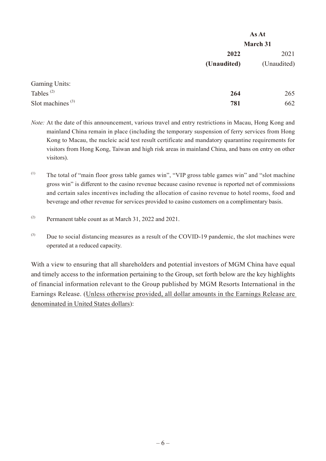|                       | As At       |             |
|-----------------------|-------------|-------------|
|                       | March 31    |             |
|                       | 2022        | 2021        |
|                       | (Unaudited) | (Unaudited) |
| Gaming Units:         |             |             |
| Tables <sup>(2)</sup> | 264         | 265         |
| Slot machines $(3)$   | 781         | 662         |

- *Note:* At the date of this announcement, various travel and entry restrictions in Macau, Hong Kong and mainland China remain in place (including the temporary suspension of ferry services from Hong Kong to Macau, the nucleic acid test result certificate and mandatory quarantine requirements for visitors from Hong Kong, Taiwan and high risk areas in mainland China, and bans on entry on other visitors).
- (1) The total of "main floor gross table games win", "VIP gross table games win" and "slot machine gross win" is different to the casino revenue because casino revenue is reported net of commissions and certain sales incentives including the allocation of casino revenue to hotel rooms, food and beverage and other revenue for services provided to casino customers on a complimentary basis.
- (2) Permanent table count as at March 31, 2022 and 2021.
- $^{(3)}$  Due to social distancing measures as a result of the COVID-19 pandemic, the slot machines were operated at a reduced capacity.

With a view to ensuring that all shareholders and potential investors of MGM China have equal and timely access to the information pertaining to the Group, set forth below are the key highlights of financial information relevant to the Group published by MGM Resorts International in the Earnings Release. (Unless otherwise provided, all dollar amounts in the Earnings Release are denominated in United States dollars):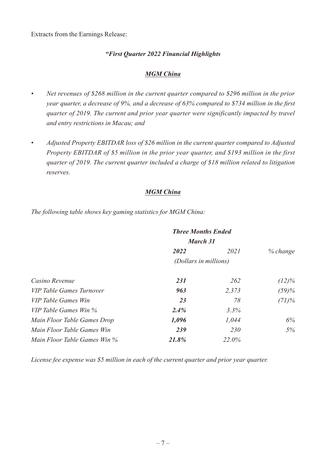Extracts from the Earnings Release:

### *"First Quarter 2022 Financial Highlights*

#### *MGM China*

- *• Net revenues of \$268 million in the current quarter compared to \$296 million in the prior year quarter, a decrease of 9%, and a decrease of 63% compared to \$734 million in the first quarter of 2019. The current and prior year quarter were significantly impacted by travel and entry restrictions in Macau; and*
- *• Adjusted Property EBITDAR loss of \$26 million in the current quarter compared to Adjusted Property EBITDAR of \$5 million in the prior year quarter, and \$193 million in the first quarter of 2019. The current quarter included a charge of \$18 million related to litigation reserves.*

#### *MGM China*

*The following table shows key gaming statistics for MGM China:*

|                                 | <b>Three Months Ended</b> |       |          |
|---------------------------------|---------------------------|-------|----------|
|                                 | <b>March 31</b>           |       |          |
|                                 | 2022                      | 2021  | % change |
|                                 | (Dollars in millions)     |       |          |
| Casino Revenue                  | 231                       | 262   | $(12)\%$ |
| <b>VIP Table Games Turnover</b> | 963                       | 2,373 | (59)%    |
| VIP Table Games Win             | 23                        | 78    | (71)%    |
| VIP Table Games Win %           | 2.4%                      | 3.3%  |          |
| Main Floor Table Games Drop     | 1,096                     | 1,044 | 6%       |
| Main Floor Table Games Win      | 239                       | 230   | 5%       |
| Main Floor Table Games Win %    | 21.8%                     | 22.0% |          |

*License fee expense was \$5 million in each of the current quarter and prior year quarter.*